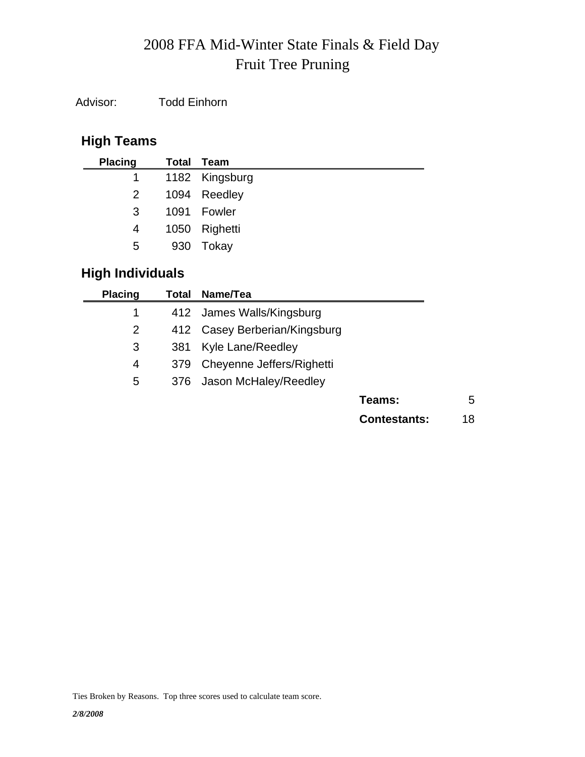# Fruit Tree Pruning 2008 FFA Mid-Winter State Finals & Field Day

Advisor: Todd Einhorn

# **High Teams**

| <b>Placing</b> | Total Team       |
|----------------|------------------|
|                | 1 1182 Kingsburg |
| 2              | 1094 Reedley     |
| 3              | 1091 Fowler      |
| 4              | 1050 Righetti    |
| 5              | 930 Tokay        |
|                |                  |

# **High Individuals**

| <b>Placing</b> | Total | Name/Tea                      |                     |    |
|----------------|-------|-------------------------------|---------------------|----|
| 1              |       | 412 James Walls/Kingsburg     |                     |    |
| 2              |       | 412 Casey Berberian/Kingsburg |                     |    |
| 3              | 381   | Kyle Lane/Reedley             |                     |    |
| 4              | 379   | Cheyenne Jeffers/Righetti     |                     |    |
| 5              | 376   | Jason McHaley/Reedley         |                     |    |
|                |       |                               | Teams:              | 5  |
|                |       |                               | <b>Contestants:</b> | 18 |
|                |       |                               |                     |    |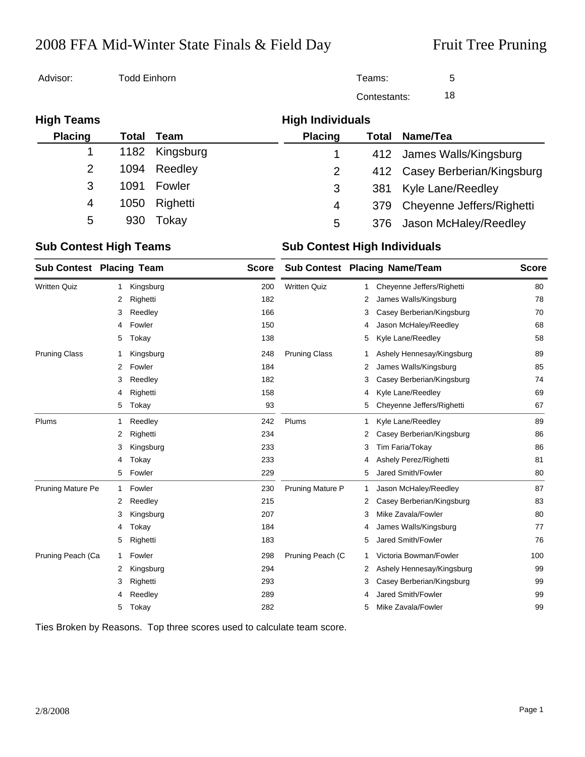# 2008 FFA Mid-Winter State Finals & Field Day Fruit Tree Pruning

| Advisor:          | Todd Einhorn |           |                         | Teams:       | 5                             |
|-------------------|--------------|-----------|-------------------------|--------------|-------------------------------|
|                   |              |           |                         | Contestants: | 18                            |
| <b>High Teams</b> |              |           | <b>High Individuals</b> |              |                               |
| <b>Placing</b>    | Total        | Team      | <b>Placing</b>          | Total        | Name/Tea                      |
|                   | 1182         | Kingsburg |                         |              | 412 James Walls/Kingsburg     |
| $\overline{2}$    | 1094         | Reedley   | 2                       |              | 412 Casey Berberian/Kingsburg |
| 3                 | 1091         | Fowler    | 3                       | 381          | <b>Kyle Lane/Reedley</b>      |
| 4                 | 1050         | Righetti  | 4                       | 379          | Cheyenne Jeffers/Righetti     |
| 5                 | 930          | Tokay     | 5                       | 376          | Jason McHaley/Reedley         |

### **Sub Contest High Teams Sub Contest High Individuals**

| <b>Sub Contest Placing Team</b> |    |           | <b>Score</b> |                         |   | <b>Sub Contest Placing Name/Team</b> |     |  |
|---------------------------------|----|-----------|--------------|-------------------------|---|--------------------------------------|-----|--|
| <b>Written Quiz</b>             | -1 | Kingsburg | 200          | <b>Written Quiz</b>     | 1 | Cheyenne Jeffers/Righetti            | 80  |  |
|                                 | 2  | Righetti  | 182          |                         | 2 | James Walls/Kingsburg                | 78  |  |
|                                 | 3  | Reedley   | 166          |                         | 3 | Casey Berberian/Kingsburg            | 70  |  |
|                                 | 4  | Fowler    | 150          |                         | 4 | Jason McHaley/Reedley                | 68  |  |
|                                 | 5  | Tokay     | 138          |                         | 5 | Kyle Lane/Reedley                    | 58  |  |
| <b>Pruning Class</b>            | 1  | Kingsburg | 248          | <b>Pruning Class</b>    | 1 | Ashely Hennesay/Kingsburg            | 89  |  |
|                                 | 2  | Fowler    | 184          |                         | 2 | James Walls/Kingsburg                | 85  |  |
|                                 | 3  | Reedley   | 182          |                         | 3 | Casey Berberian/Kingsburg            | 74  |  |
|                                 | 4  | Righetti  | 158          |                         | 4 | Kyle Lane/Reedley                    | 69  |  |
|                                 | 5  | Tokay     | 93           |                         | 5 | Cheyenne Jeffers/Righetti            | 67  |  |
| Plums                           | 1  | Reedley   | 242          | Plums                   | 1 | Kyle Lane/Reedley                    | 89  |  |
|                                 | 2  | Righetti  | 234          |                         | 2 | Casey Berberian/Kingsburg            | 86  |  |
|                                 | 3  | Kingsburg | 233          |                         | 3 | Tim Faria/Tokay                      | 86  |  |
|                                 | 4  | Tokay     | 233          |                         | 4 | Ashely Perez/Righetti                | 81  |  |
|                                 | 5  | Fowler    | 229          |                         | 5 | Jared Smith/Fowler                   | 80  |  |
| <b>Pruning Mature Pe</b>        | 1  | Fowler    | 230          | <b>Pruning Mature P</b> | 1 | Jason McHaley/Reedley                | 87  |  |
|                                 | 2  | Reedley   | 215          |                         | 2 | Casey Berberian/Kingsburg            | 83  |  |
|                                 | 3  | Kingsburg | 207          |                         | 3 | Mike Zavala/Fowler                   | 80  |  |
|                                 | 4  | Tokay     | 184          |                         | 4 | James Walls/Kingsburg                | 77  |  |
|                                 | 5  | Righetti  | 183          |                         | 5 | <b>Jared Smith/Fowler</b>            | 76  |  |
| Pruning Peach (Ca               | 1  | Fowler    | 298          | Pruning Peach (C        | 1 | Victoria Bowman/Fowler               | 100 |  |
|                                 | 2  | Kingsburg | 294          |                         | 2 | Ashely Hennesay/Kingsburg            | 99  |  |
|                                 | 3  | Righetti  | 293          |                         | 3 | Casey Berberian/Kingsburg            | 99  |  |
|                                 | 4  | Reedley   | 289          |                         | 4 | <b>Jared Smith/Fowler</b>            | 99  |  |
|                                 | 5  | Tokay     | 282          |                         | 5 | Mike Zavala/Fowler                   | 99  |  |

Ties Broken by Reasons. Top three scores used to calculate team score.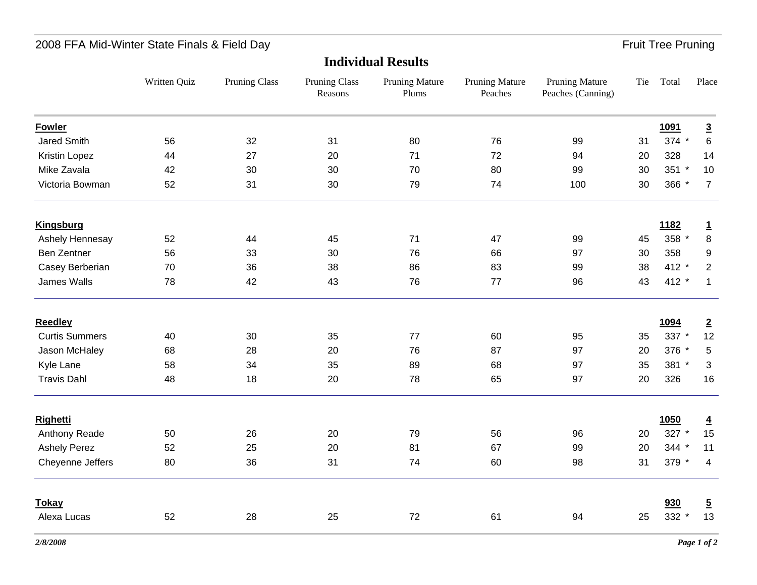# 2008 FFA Mid-Winter State Finals & Field Day Fruit Tree Pruning

|                       | Written Quiz | <b>Pruning Class</b> | <b>Pruning Class</b><br>Reasons | <b>Pruning Mature</b><br>Plums | <b>Pruning Mature</b><br>Peaches | <b>Pruning Mature</b><br>Peaches (Canning) | Tie | Total       | Place          |  |
|-----------------------|--------------|----------------------|---------------------------------|--------------------------------|----------------------------------|--------------------------------------------|-----|-------------|----------------|--|
| <b>Fowler</b>         |              |                      |                                 |                                |                                  |                                            |     | 1091        | $\overline{3}$ |  |
| Jared Smith           | 56           | 32                   | 31                              | 80                             | 76                               | 99                                         | 31  | 374 *       | $\,6\,$        |  |
| Kristin Lopez         | 44           | 27                   | 20                              | 71                             | 72                               | 94                                         | 20  | 328         | 14             |  |
| Mike Zavala           | 42           | 30                   | 30                              | 70                             | 80                               | 99                                         | 30  | 351 *       | 10             |  |
| Victoria Bowman       | 52           | 31                   | 30                              | 79                             | 74                               | 100                                        | 30  | 366 *       | $\overline{7}$ |  |
| <b>Kingsburg</b>      |              |                      |                                 |                                |                                  |                                            |     | <u>1182</u> | $\overline{1}$ |  |
| Ashely Hennesay       | 52           | 44                   | 45                              | 71                             | 47                               | 99                                         | 45  | 358 *       | $\bf 8$        |  |
| <b>Ben Zentner</b>    | 56           | 33                   | 30                              | 76                             | 66                               | 97                                         | 30  | 358         | 9              |  |
| Casey Berberian       | 70           | 36                   | 38                              | 86                             | 83                               | 99                                         | 38  | 412 *       | $\overline{2}$ |  |
| James Walls           | 78           | 42                   | 43                              | 76                             | 77                               | 96                                         | 43  | 412 *       | $\mathbf{1}$   |  |
| <b>Reedley</b>        |              |                      |                                 |                                |                                  |                                            |     | 1094        | $\overline{2}$ |  |
| <b>Curtis Summers</b> | 40           | 30                   | 35                              | 77                             | 60                               | 95                                         | 35  | 337 *       | 12             |  |
| Jason McHaley         | 68           | 28                   | 20                              | 76                             | 87                               | 97                                         | 20  | 376 *       | $\,$ 5 $\,$    |  |
| Kyle Lane             | 58           | 34                   | 35                              | 89                             | 68                               | 97                                         | 35  | 381 *       | $\mathfrak{S}$ |  |
| <b>Travis Dahl</b>    | 48           | 18                   | 20                              | 78                             | 65                               | 97                                         | 20  | 326         | 16             |  |
| Righetti              |              |                      |                                 |                                |                                  |                                            |     | 1050        | $\overline{4}$ |  |
| Anthony Reade         | 50           | 26                   | 20                              | 79                             | 56                               | 96                                         | 20  | 327 *       | 15             |  |
| <b>Ashely Perez</b>   | 52           | 25                   | 20                              | 81                             | 67                               | 99                                         | 20  | 344 *       | 11             |  |
| Cheyenne Jeffers      | 80           | 36                   | 31                              | 74                             | 60                               | 98                                         | 31  | 379 *       | $\overline{4}$ |  |
| <b>Tokay</b>          |              |                      |                                 |                                |                                  |                                            |     | 930         | $\overline{5}$ |  |
| Alexa Lucas           | 52           | 28                   | 25                              | 72                             | 61                               | 94                                         | 25  | 332 *       | 13             |  |